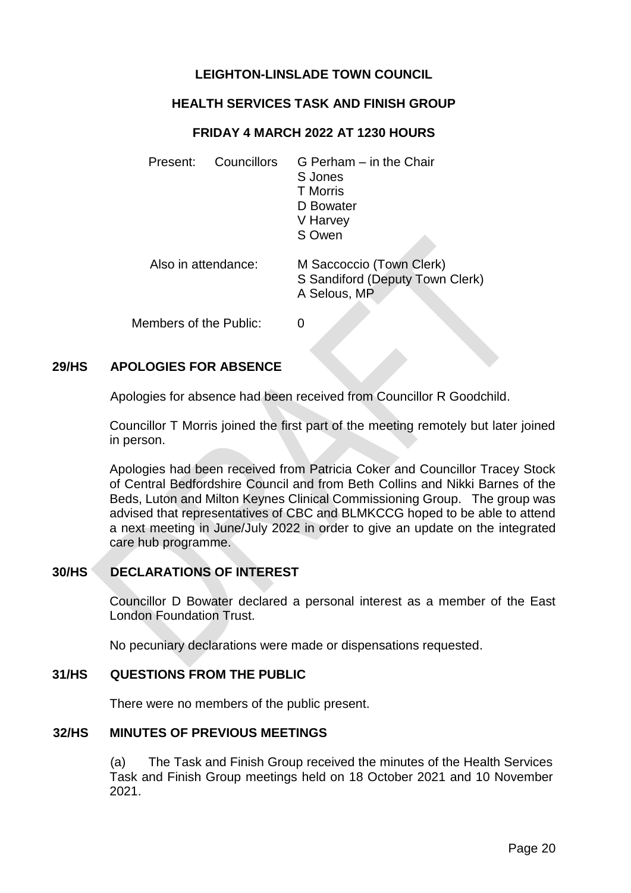# **LEIGHTON-LINSLADE TOWN COUNCIL**

## **HEALTH SERVICES TASK AND FINISH GROUP**

#### **FRIDAY 4 MARCH 2022 AT 1230 HOURS**

| Councillors<br>Present: | G Perham - in the Chair<br>S Jones<br><b>T</b> Morris<br>D Bowater<br>V Harvey<br>S Owen |
|-------------------------|------------------------------------------------------------------------------------------|
| Also in attendance:     | M Saccoccio (Town Clerk)<br>S Sandiford (Deputy Town Clerk)<br>A Selous, MP              |
| Members of the Public:  |                                                                                          |

### **29/HS APOLOGIES FOR ABSENCE**

Apologies for absence had been received from Councillor R Goodchild.

Councillor T Morris joined the first part of the meeting remotely but later joined in person.

Apologies had been received from Patricia Coker and Councillor Tracey Stock of Central Bedfordshire Council and from Beth Collins and Nikki Barnes of the Beds, Luton and Milton Keynes Clinical Commissioning Group. The group was advised that representatives of CBC and BLMKCCG hoped to be able to attend a next meeting in June/July 2022 in order to give an update on the integrated care hub programme.

#### **30/HS DECLARATIONS OF INTEREST**

Councillor D Bowater declared a personal interest as a member of the East London Foundation Trust.

No pecuniary declarations were made or dispensations requested.

#### **31/HS QUESTIONS FROM THE PUBLIC**

There were no members of the public present.

#### **32/HS MINUTES OF PREVIOUS MEETINGS**

(a) The Task and Finish Group received the minutes of the Health Services Task and Finish Group meetings held on 18 October 2021 and 10 November 2021.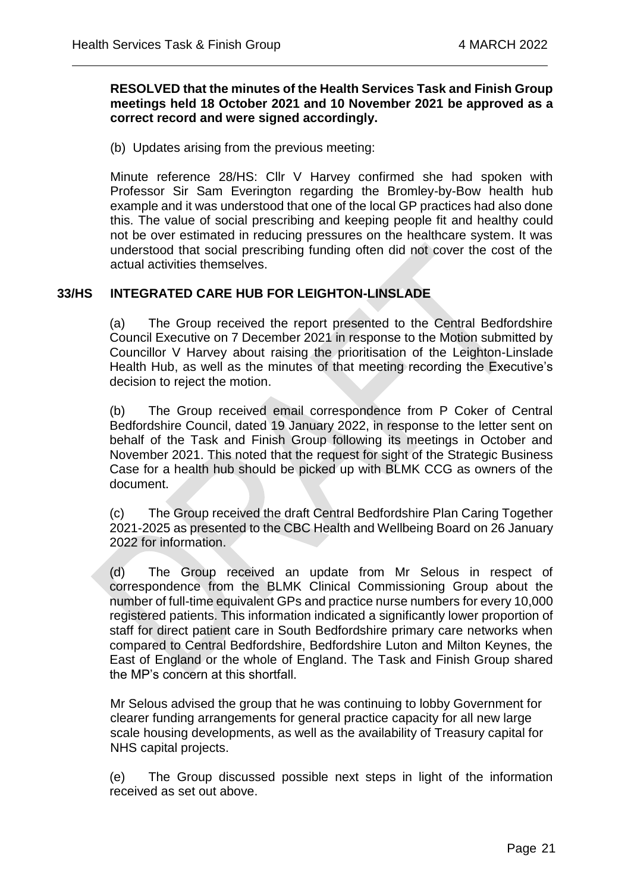### **RESOLVED that the minutes of the Health Services Task and Finish Group meetings held 18 October 2021 and 10 November 2021 be approved as a correct record and were signed accordingly.**

 $\overline{a}$ 

(b) Updates arising from the previous meeting:

Minute reference 28/HS: Cllr V Harvey confirmed she had spoken with Professor Sir Sam Everington regarding the Bromley-by-Bow health hub example and it was understood that one of the local GP practices had also done this. The value of social prescribing and keeping people fit and healthy could not be over estimated in reducing pressures on the healthcare system. It was understood that social prescribing funding often did not cover the cost of the actual activities themselves.

## **33/HS INTEGRATED CARE HUB FOR LEIGHTON-LINSLADE**

(a) The Group received the report presented to the Central Bedfordshire Council Executive on 7 December 2021 in response to the Motion submitted by Councillor V Harvey about raising the prioritisation of the Leighton-Linslade Health Hub, as well as the minutes of that meeting recording the Executive's decision to reject the motion.

(b) The Group received email correspondence from P Coker of Central Bedfordshire Council, dated 19 January 2022, in response to the letter sent on behalf of the Task and Finish Group following its meetings in October and November 2021. This noted that the request for sight of the Strategic Business Case for a health hub should be picked up with BLMK CCG as owners of the document.

(c) The Group received the draft Central Bedfordshire Plan Caring Together 2021-2025 as presented to the CBC Health and Wellbeing Board on 26 January 2022 for information.

(d) The Group received an update from Mr Selous in respect of correspondence from the BLMK Clinical Commissioning Group about the number of full-time equivalent GPs and practice nurse numbers for every 10,000 registered patients. This information indicated a significantly lower proportion of staff for direct patient care in South Bedfordshire primary care networks when compared to Central Bedfordshire, Bedfordshire Luton and Milton Keynes, the East of England or the whole of England. The Task and Finish Group shared the MP's concern at this shortfall.

Mr Selous advised the group that he was continuing to lobby Government for clearer funding arrangements for general practice capacity for all new large scale housing developments, as well as the availability of Treasury capital for NHS capital projects.

(e) The Group discussed possible next steps in light of the information received as set out above.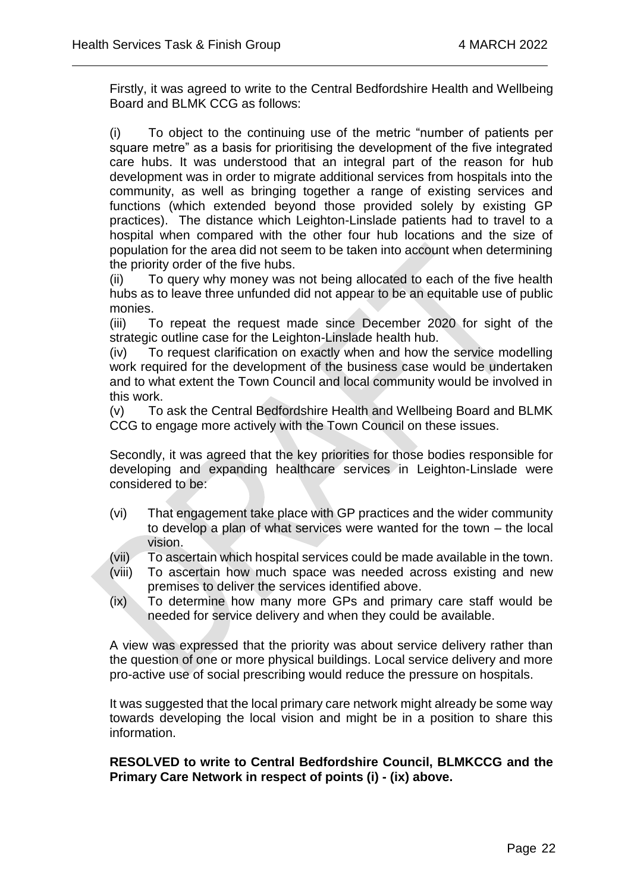Firstly, it was agreed to write to the Central Bedfordshire Health and Wellbeing Board and BLMK CCG as follows:

 $\overline{a}$ 

(i) To object to the continuing use of the metric "number of patients per square metre" as a basis for prioritising the development of the five integrated care hubs. It was understood that an integral part of the reason for hub development was in order to migrate additional services from hospitals into the community, as well as bringing together a range of existing services and functions (which extended beyond those provided solely by existing GP practices). The distance which Leighton-Linslade patients had to travel to a hospital when compared with the other four hub locations and the size of population for the area did not seem to be taken into account when determining the priority order of the five hubs.

(ii) To query why money was not being allocated to each of the five health hubs as to leave three unfunded did not appear to be an equitable use of public monies.

(iii) To repeat the request made since December 2020 for sight of the strategic outline case for the Leighton-Linslade health hub.

(iv) To request clarification on exactly when and how the service modelling work required for the development of the business case would be undertaken and to what extent the Town Council and local community would be involved in this work.

(v) To ask the Central Bedfordshire Health and Wellbeing Board and BLMK CCG to engage more actively with the Town Council on these issues.

Secondly, it was agreed that the key priorities for those bodies responsible for developing and expanding healthcare services in Leighton-Linslade were considered to be:

- (vi) That engagement take place with GP practices and the wider community to develop a plan of what services were wanted for the town – the local vision.
- (vii) To ascertain which hospital services could be made available in the town.
- (viii) To ascertain how much space was needed across existing and new premises to deliver the services identified above.
- (ix) To determine how many more GPs and primary care staff would be needed for service delivery and when they could be available.

A view was expressed that the priority was about service delivery rather than the question of one or more physical buildings. Local service delivery and more pro-active use of social prescribing would reduce the pressure on hospitals.

It was suggested that the local primary care network might already be some way towards developing the local vision and might be in a position to share this information.

**RESOLVED to write to Central Bedfordshire Council, BLMKCCG and the Primary Care Network in respect of points (i) - (ix) above.**